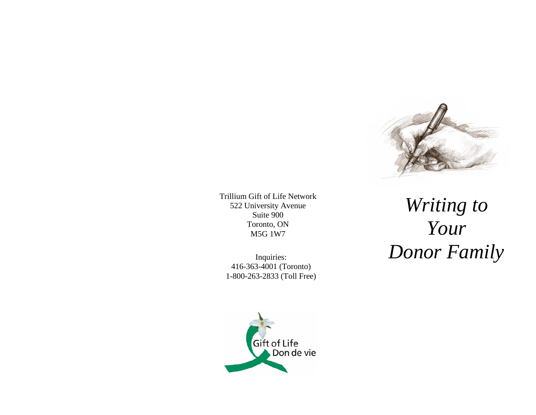

Trillium Gift of Life Network 522 University Avenue Suite 900 Toronto, ON M5G 1W7

Inquiries: 416-363-4001 (Toronto) 1-800-263-2833 (Toll Free)

*Writing to Your Donor Family*